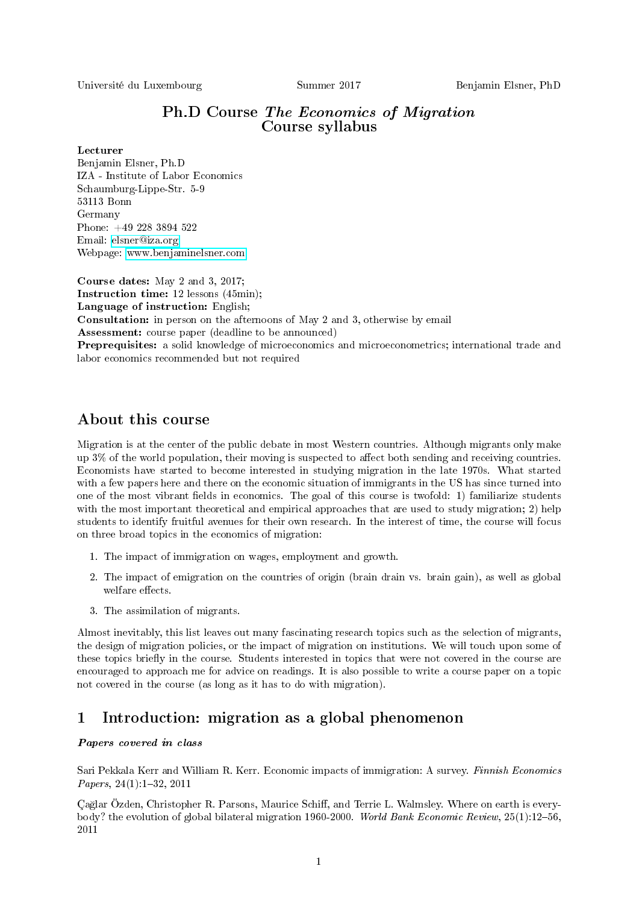Université du Luxembourg Summer 2017 Benjamin Elsner, PhD

## Ph.D Course The Economics of Migration Course syllabus

### Lecturer

Benjamin Elsner, Ph.D IZA - Institute of Labor Economics Schaumburg-Lippe-Str. 5-9 53113 Bonn Germany Phone: +49 228 3894 522 Email: [elsner@iza.org](mailto:elsner@iza.org) Webpage: [www.benjaminelsner.com](http://www.benjaminelsner.com)

Course dates: May 2 and 3, 2017; Instruction time: 12 lessons (45min); Language of instruction: English; Consultation: in person on the afternoons of May 2 and 3, otherwise by email Assessment: course paper (deadline to be announced) Preprequisites: a solid knowledge of microeconomics and microeconometrics; international trade and labor economics recommended but not required

# About this course

Migration is at the center of the public debate in most Western countries. Although migrants only make up  $3\%$  of the world population, their moving is suspected to affect both sending and receiving countries. Economists have started to become interested in studying migration in the late 1970s. What started with a few papers here and there on the economic situation of immigrants in the US has since turned into one of the most vibrant fields in economics. The goal of this course is twofold: 1) familiarize students with the most important theoretical and empirical approaches that are used to study migration; 2) help students to identify fruitful avenues for their own research. In the interest of time, the course will focus on three broad topics in the economics of migration:

- 1. The impact of immigration on wages, employment and growth.
- 2. The impact of emigration on the countries of origin (brain drain vs. brain gain), as well as global welfare effects.
- 3. The assimilation of migrants.

Almost inevitably, this list leaves out many fascinating research topics such as the selection of migrants, the design of migration policies, or the impact of migration on institutions. We will touch upon some of these topics briefly in the course. Students interested in topics that were not covered in the course are encouraged to approach me for advice on readings. It is also possible to write a course paper on a topic not covered in the course (as long as it has to do with migration).

# 1 Introduction: migration as a global phenomenon

### Papers covered in class

Sari Pekkala Kerr and William R. Kerr. Economic impacts of immigration: A survey. Finnish Economics Papers,  $24(1):1-32$ ,  $2011$ 

Çağlar Özden, Christopher R. Parsons, Maurice Schiff, and Terrie L. Walmsley. Where on earth is everybody? the evolution of global bilateral migration 1960-2000. World Bank Economic Review, 25(1):1256, 2011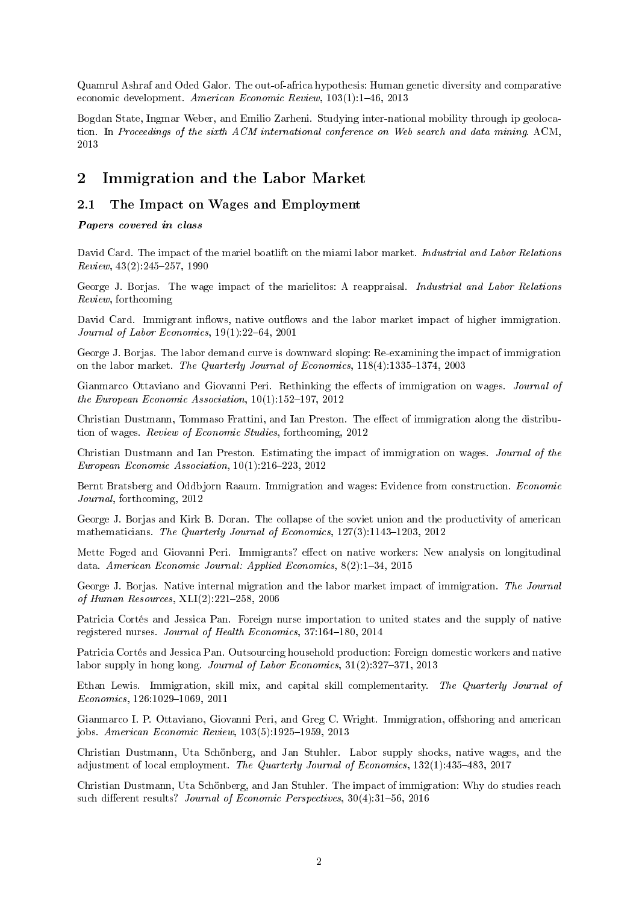Quamrul Ashraf and Oded Galor. The out-of-africa hypothesis: Human genetic diversity and comparative economic development. American Economic Review, 103(1):1-46, 2013

Bogdan State, Ingmar Weber, and Emilio Zarheni. Studying inter-national mobility through ip geolocation. In Proceedings of the sixth ACM international conference on Web search and data mining. ACM, 2013

# 2 Immigration and the Labor Market

## 2.1 The Impact on Wages and Employment

Papers covered in class

David Card. The impact of the mariel boatlift on the miami labor market. Industrial and Labor Relations  $Review, 43(2):245-257, 1990$ 

George J. Borjas. The wage impact of the marielitos: A reappraisal. Industrial and Labor Relations Review, forthcoming

David Card. Immigrant inflows, native outflows and the labor market impact of higher immigration. Journal of Labor Economics,  $19(1):22-64$ ,  $2001$ 

George J. Borjas. The labor demand curve is downward sloping: Re-examining the impact of immigration on the labor market. The Quarterly Journal of Economics,  $118(4):1335-1374$ , 2003

Gianmarco Ottaviano and Giovanni Peri. Rethinking the effects of immigration on wages. Journal of the European Economic Association,  $10(1)$ :152-197, 2012

Christian Dustmann, Tommaso Frattini, and Ian Preston. The effect of immigration along the distribution of wages. Review of Economic Studies, forthcoming, 2012

Christian Dustmann and Ian Preston. Estimating the impact of immigration on wages. Journal of the European Economic Association,  $10(1)$ :216-223, 2012

Bernt Bratsberg and Oddbjorn Raaum. Immigration and wages: Evidence from construction. Economic Journal, forthcoming, 2012

George J. Borjas and Kirk B. Doran. The collapse of the soviet union and the productivity of american mathematicians. The Quarterly Journal of Economics,  $127(3)$ :1143-1203, 2012

Mette Foged and Giovanni Peri. Immigrants? effect on native workers: New analysis on longitudinal data. American Economic Journal: Applied Economics, 8(2):1-34, 2015

George J. Borjas. Native internal migration and the labor market impact of immigration. The Journal of Human Resources,  $XLI(2):221-258$ , 2006

Patricia Cortés and Jessica Pan. Foreign nurse importation to united states and the supply of native registered nurses. Journal of Health Economics, 37:164-180, 2014

Patricia Cortés and Jessica Pan. Outsourcing household production: Foreign domestic workers and native labor supply in hong kong. *Journal of Labor Economics*,  $31(2):327-371$ ,  $2013$ 

Ethan Lewis. Immigration, skill mix, and capital skill complementarity. The Quarterly Journal of  $Economics, 126:1029-1069, 2011$ 

Gianmarco I. P. Ottaviano, Giovanni Peri, and Greg C. Wright. Immigration, offshoring and american jobs. American Economic Review,  $103(5)$ :1925-1959, 2013

Christian Dustmann, Uta Schönberg, and Jan Stuhler. Labor supply shocks, native wages, and the adjustment of local employment. The Quarterly Journal of Economics,  $132(1):435-483$ ,  $2017$ 

Christian Dustmann, Uta Schönberg, and Jan Stuhler. The impact of immigration: Why do studies reach such different results? *Journal of Economic Perspectives*,  $30(4):31-56, 2016$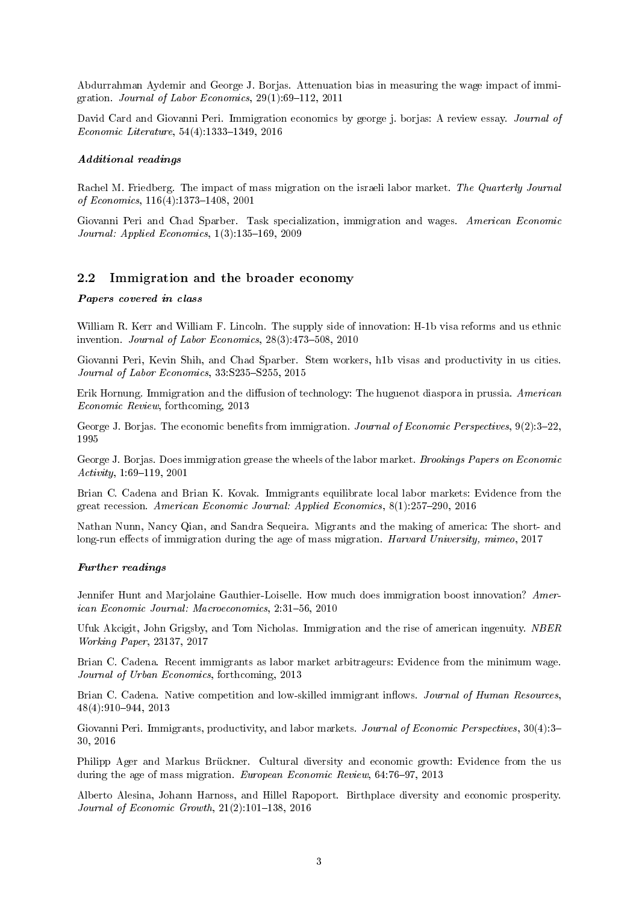Abdurrahman Aydemir and George J. Borjas. Attenuation bias in measuring the wage impact of immigration. Journal of Labor Economics,  $29(1):69-112$ ,  $2011$ 

David Card and Giovanni Peri. Immigration economics by george j. borjas: A review essay. Journal of  $Economic\ Literature, 54(4):1333-1349, 2016$ 

### Additional readings

Rachel M. Friedberg. The impact of mass migration on the israeli labor market. The Quarterly Journal of Economics,  $116(4)$ :1373-1408, 2001

Giovanni Peri and Chad Sparber. Task specialization, immigration and wages. American Economic Journal: Applied Economics,  $1(3)$ : 135-169, 2009

### 2.2 Immigration and the broader economy

### Papers covered in class

William R. Kerr and William F. Lincoln. The supply side of innovation: H-1b visa reforms and us ethnic invention. Journal of Labor Economics,  $28(3)$ : 473-508, 2010

Giovanni Peri, Kevin Shih, and Chad Sparber. Stem workers, h1b visas and productivity in us cities. Journal of Labor Economics,  $33:S235-S255, 2015$ 

Erik Hornung. Immigration and the diffusion of technology: The huguenot diaspora in prussia. American Economic Review, forthcoming, 2013

George J. Borjas. The economic benefits from immigration. *Journal of Economic Perspectives*,  $9(2):3-22$ , 1995

George J. Borjas. Does immigration grease the wheels of the labor market. Brookings Papers on Economic  $Activity, 1:69-119, 2001$ 

Brian C. Cadena and Brian K. Kovak. Immigrants equilibrate local labor markets: Evidence from the great recession. American Economic Journal: Applied Economics,  $8(1):257-290$ , 2016

Nathan Nunn, Nancy Qian, and Sandra Sequeira. Migrants and the making of america: The short- and long-run effects of immigration during the age of mass migration. Harvard University, mimeo,  $2017$ 

#### Further readings

Jennifer Hunt and Marjolaine Gauthier-Loiselle. How much does immigration boost innovation? American Economic Journal: Macroeconomics, 2:31-56, 2010

Ufuk Akcigit, John Grigsby, and Tom Nicholas. Immigration and the rise of american ingenuity. NBER Working Paper, 23137, 2017

Brian C. Cadena. Recent immigrants as labor market arbitrageurs: Evidence from the minimum wage. Journal of Urban Economics, forthcoming, 2013

Brian C. Cadena. Native competition and low-skilled immigrant inflows. Journal of Human Resources, 48(4):910944, 2013

Giovanni Peri. Immigrants, productivity, and labor markets. Journal of Economic Perspectives, 30(4):3-30, 2016

Philipp Ager and Markus Brückner. Cultural diversity and economic growth: Evidence from the us during the age of mass migration. European Economic Review,  $64:76-97$ ,  $2013$ 

Alberto Alesina, Johann Harnoss, and Hillel Rapoport. Birthplace diversity and economic prosperity. Journal of Economic Growth,  $21(2):101-138$ ,  $2016$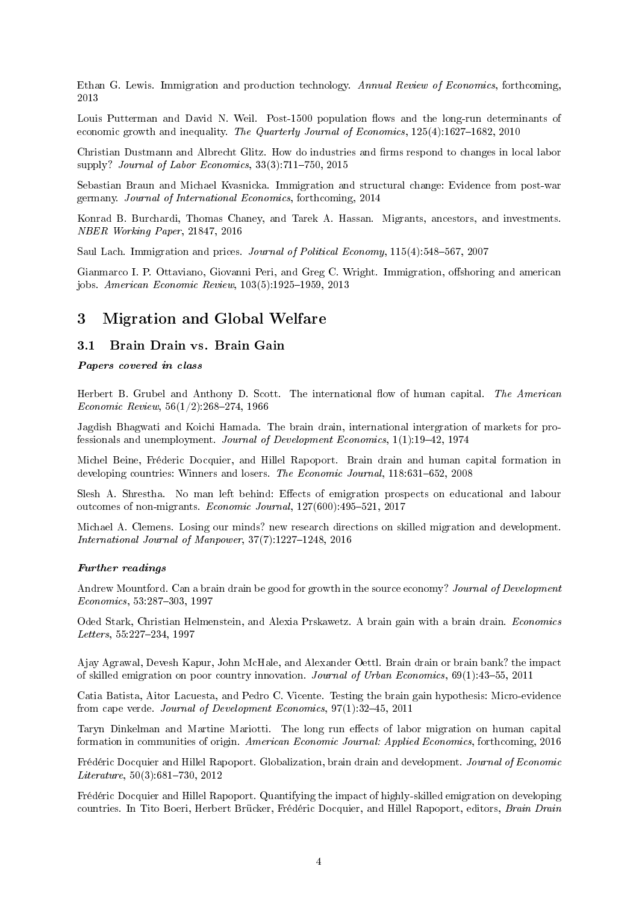Ethan G. Lewis. Immigration and production technology. Annual Review of Economics, forthcoming, 2013

Louis Putterman and David N. Weil. Post-1500 population flows and the long-run determinants of economic growth and inequality. The Quarterly Journal of Economics,  $125(4):1627-1682$ ,  $2010$ 

Christian Dustmann and Albrecht Glitz. How do industries and firms respond to changes in local labor supply? Journal of Labor Economics,  $33(3)$ :711-750, 2015

Sebastian Braun and Michael Kvasnicka. Immigration and structural change: Evidence from post-war germany. Journal of International Economics, forthcoming, 2014

Konrad B. Burchardi, Thomas Chaney, and Tarek A. Hassan. Migrants, ancestors, and investments. NBER Working Paper, 21847, 2016

Saul Lach. Immigration and prices. Journal of Political Economy, 115(4):548-567, 2007

Gianmarco I. P. Ottaviano, Giovanni Peri, and Greg C. Wright. Immigration, offshoring and american jobs. American Economic Review, 103(5):1925-1959, 2013

## 3 Migration and Global Welfare

### 3.1 Brain Drain vs. Brain Gain

### Papers covered in class

Herbert B. Grubel and Anthony D. Scott. The international flow of human capital. The American Economic Review,  $56(1/2)$ :268-274, 1966

Jagdish Bhagwati and Koichi Hamada. The brain drain, international intergration of markets for professionals and unemployment. Journal of Development Economics, 1(1):19-42, 1974

Michel Beine, Fréderic Docquier, and Hillel Rapoport. Brain drain and human capital formation in developing countries: Winners and losers. The Economic Journal,  $118:631-652$ , 2008

Slesh A. Shrestha. No man left behind: Effects of emigration prospects on educational and labour outcomes of non-migrants. Economic Journal,  $127(600)$ : 495-521, 2017

Michael A. Clemens. Losing our minds? new research directions on skilled migration and development. International Journal of Manpower,  $37(7):1227-1248$ ,  $2016$ 

#### Further readings

Andrew Mountford. Can a brain drain be good for growth in the source economy? Journal of Development Economics, 53:287-303, 1997

Oded Stark, Christian Helmenstein, and Alexia Prskawetz. A brain gain with a brain drain. Economics Letters, 55:227-234, 1997

Ajay Agrawal, Devesh Kapur, John McHale, and Alexander Oettl. Brain drain or brain bank? the impact of skilled emigration on poor country innovation. Journal of Urban Economics,  $69(1):43-55$ ,  $2011$ 

Catia Batista, Aitor Lacuesta, and Pedro C. Vicente. Testing the brain gain hypothesis: Micro-evidence from cape verde. Journal of Development Economics, 97(1):3245, 2011

Taryn Dinkelman and Martine Mariotti. The long run effects of labor migration on human capital formation in communities of origin. American Economic Journal: Applied Economics, forthcoming, 2016

Frédéric Docquier and Hillel Rapoport. Globalization, brain drain and development. Journal of Economic  $Literature, 50(3): 681-730, 2012$ 

Frédéric Docquier and Hillel Rapoport. Quantifying the impact of highly-skilled emigration on developing countries. In Tito Boeri, Herbert Brücker, Frédéric Docquier, and Hillel Rapoport, editors, Brain Drain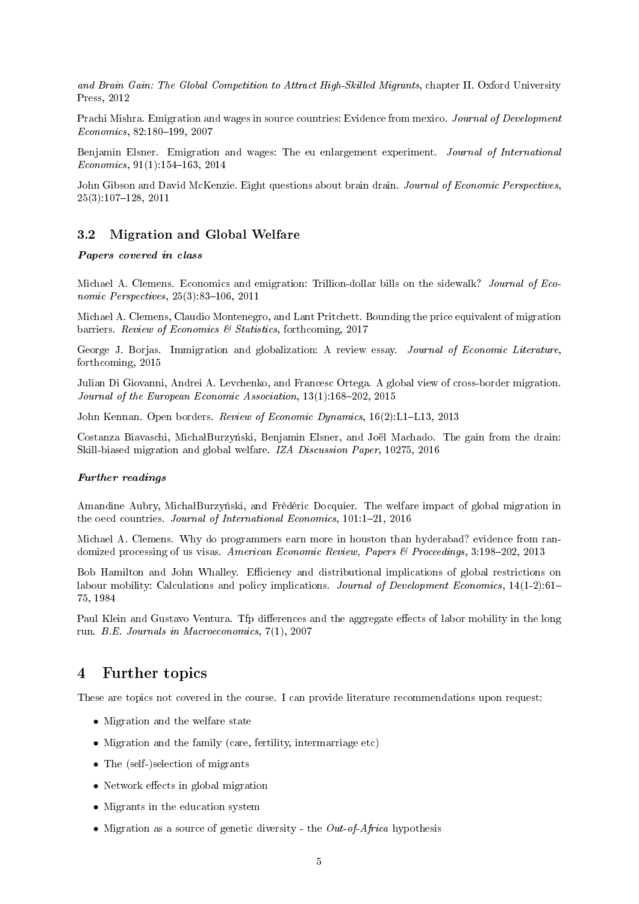and Brain Gain: The Global Competition to Attract High-Skilled Migrants, chapter II. Oxford University Press, 2012

Prachi Mishra. Emigration and wages in source countries: Evidence from mexico. Journal of Development  $Economics, 82:180-199, 2007$ 

Benjamin Elsner. Emigration and wages: The eu enlargement experiment. Journal of International  $Economics, 91(1):154-163, 2014$ 

John Gibson and David McKenzie. Eight questions about brain drain. Journal of Economic Perspectives,  $25(3):107-128, 2011$ 

### 3.2 Migration and Global Welfare

### Papers covered in class

Michael A. Clemens. Economics and emigration: Trillion-dollar bills on the sidewalk? *Journal of Eco*nomic Perspectives,  $25(3)$ :83-106, 2011

Michael A. Clemens, Claudio Montenegro, and Lant Pritchett. Bounding the price equivalent of migration barriers. Review of Economics & Statistics, forthcoming, 2017

George J. Borjas. Immigration and globalization: A review essay. Journal of Economic Literature, forthcoming, 2015

Julian Di Giovanni, Andrei A. Levchenko, and Francesc Ortega. A global view of cross-border migration. Journal of the European Economic Association,  $13(1)$ :168-202, 2015

John Kennan. Open borders. Review of Economic Dynamics, 16(2):L1-L13, 2013

Costanza Biavaschi, MichałBurzyński, Benjamin Elsner, and Joël Machado. The gain from the drain: Skill-biased migration and global welfare. IZA Discussion Paper, 10275, 2016

#### Further readings

Amandine Aubry, MichałBurzyński, and Frédéric Docquier. The welfare impact of global migration in the oecd countries. Journal of International Economics,  $101:1-21$ ,  $2016$ 

Michael A. Clemens. Why do programmers earn more in houston than hyderabad? evidence from randomized processing of us visas. American Economic Review, Papers & Proceedings, 3:198-202, 2013

Bob Hamilton and John Whalley. Efficiency and distributional implications of global restrictions on labour mobility: Calculations and policy implications. Journal of Development Economics, 14(1-2):61-75, 1984

Paul Klein and Gustavo Ventura. Tfp differences and the aggregate effects of labor mobility in the long run. B.E. Journals in Macroeconomics, 7(1), 2007

## 4 Further topics

These are topics not covered in the course. I can provide literature recommendations upon request:

- Migration and the welfare state
- Migration and the family (care, fertility, intermarriage etc)
- The (self-)selection of migrants
- $\bullet$  Network effects in global migration
- Migrants in the education system
- Migration as a source of genetic diversity the *Out-of-Africa* hypothesis